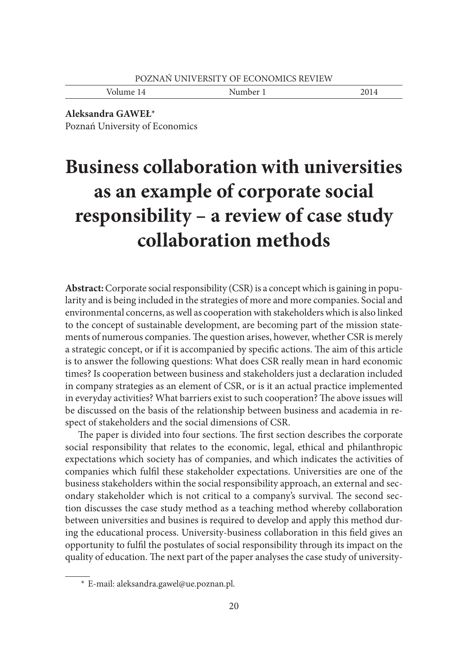Volume 14 Number 1 2014

**Aleksandra GAWEŁ**\* Poznań University of Economics

# **Business collaboration with universities as an example of corporate social responsibility – a review of case study collaboration methods**

**Abstract:** Corporate social responsibility (CSR) is a concept which is gaining in popularity and is being included in the strategies of more and more companies. Social and environmental concerns, as well as cooperation with stakeholders which is also linked to the concept of sustainable development, are becoming part of the mission statements of numerous companies. The question arises, however, whether CSR is merely a strategic concept, or if it is accompanied by specific actions. The aim of this article is to answer the following questions: What does CSR really mean in hard economic times? Is cooperation between business and stakeholders just a declaration included in company strategies as an element of CSR, or is it an actual practice implemented in everyday activities? What barriers exist to such cooperation? The above issues will be discussed on the basis of the relationship between business and academia in respect of stakeholders and the social dimensions of CSR.

The paper is divided into four sections. The first section describes the corporate social responsibility that relates to the economic, legal, ethical and philanthropic expectations which society has of companies, and which indicates the activities of companies which fulfi l these stakeholder expectations. Universities are one of the business stakeholders within the social responsibility approach, an external and secondary stakeholder which is not critical to a company's survival. The second section discusses the case study method as a teaching method whereby collaboration between universities and busines is required to develop and apply this method during the educational process. University-business collaboration in this field gives an opportunity to fulfi l the postulates of social responsibility through its impact on the quality of education. The next part of the paper analyses the case study of university-

 <sup>\*</sup> E-mail: aleksandra.gawel@ue.poznan.pl.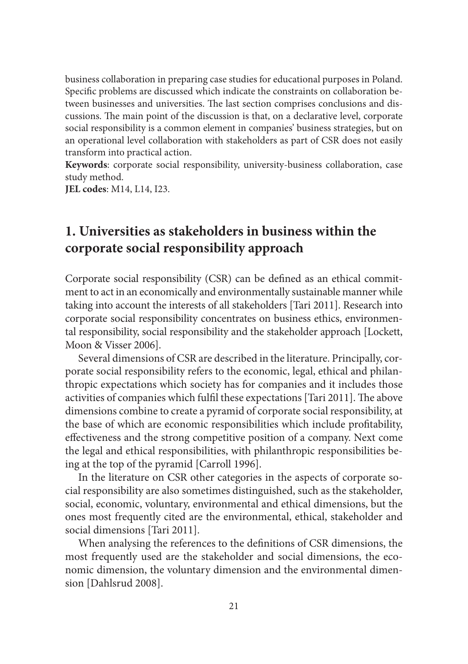business collaboration in preparing case studies for educational purposes in Poland. Specific problems are discussed which indicate the constraints on collaboration between businesses and universities. The last section comprises conclusions and discussions. The main point of the discussion is that, on a declarative level, corporate social responsibility is a common element in companies' business strategies, but on an operational level collaboration with stakeholders as part of CSR does not easily transform into practical action.

**Keywords**: corporate social responsibility, university-business collaboration, case study method.

**JEL codes**: M14, L14, I23.

#### **1. Universities as stakeholders in business within the corporate social responsibility approach**

Corporate social responsibility (CSR) can be defined as an ethical commitment to act in an economically and environmentally sustainable manner while taking into account the interests of all stakeholders [Tari 2011]. Research into corporate social responsibility concentrates on business ethics, environmental responsibility, social responsibility and the stakeholder approach [Lockett, Moon & Visser 2006].

Several dimensions of CSR are described in the literature. Principally, corporate social responsibility refers to the economic, legal, ethical and philanthropic expectations which society has for companies and it includes those activities of companies which fulfil these expectations [Tari 2011]. The above dimensions combine to create a pyramid of corporate social responsibility, at the base of which are economic responsibilities which include profitability, effectiveness and the strong competitive position of a company. Next come the legal and ethical responsibilities, with philanthropic responsibilities being at the top of the pyramid [Carroll 1996].

In the literature on CSR other categories in the aspects of corporate social responsibility are also sometimes distinguished, such as the stakeholder, social, economic, voluntary, environmental and ethical dimensions, but the ones most frequently cited are the environmental, ethical, stakeholder and social dimensions [Tari 2011].

When analysing the references to the definitions of CSR dimensions, the most frequently used are the stakeholder and social dimensions, the economic dimension, the voluntary dimension and the environmental dimension [Dahlsrud 2008].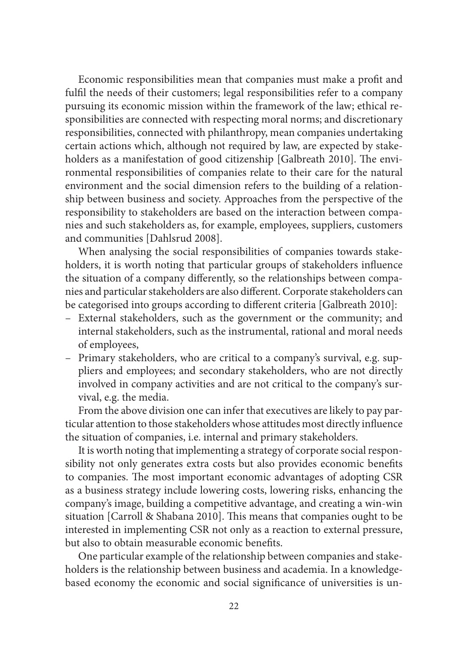Economic responsibilities mean that companies must make a profit and fulfil the needs of their customers; legal responsibilities refer to a company pursuing its economic mission within the framework of the law; ethical responsibilities are connected with respecting moral norms; and discretionary responsibilities, connected with philanthropy, mean companies undertaking certain actions which, although not required by law, are expected by stakeholders as a manifestation of good citizenship [Galbreath 2010]. The environmental responsibilities of companies relate to their care for the natural environment and the social dimension refers to the building of a relationship between business and society. Approaches from the perspective of the responsibility to stakeholders are based on the interaction between companies and such stakeholders as, for example, employees, suppliers, customers and communities [Dahlsrud 2008].

When analysing the social responsibilities of companies towards stakeholders, it is worth noting that particular groups of stakeholders influence the situation of a company differently, so the relationships between companies and particular stakeholders are also different. Corporate stakeholders can be categorised into groups according to different criteria [Galbreath 2010]:

- External stakeholders, such as the government or the community; and internal stakeholders, such as the instrumental, rational and moral needs of employees,
- Primary stakeholders, who are critical to a company's survival, e.g. suppliers and employees; and secondary stakeholders, who are not directly involved in company activities and are not critical to the company's survival, e.g. the media.

From the above division one can infer that executives are likely to pay particular attention to those stakeholders whose attitudes most directly influence the situation of companies, i.e. internal and primary stakeholders.

It is worth noting that implementing a strategy of corporate social responsibility not only generates extra costs but also provides economic benefits to companies. The most important economic advantages of adopting CSR as a business strategy include lowering costs, lowering risks, enhancing the company's image, building a competitive advantage, and creating a win-win situation [Carroll & Shabana 2010]. This means that companies ought to be interested in implementing CSR not only as a reaction to external pressure, but also to obtain measurable economic benefits.

One particular example of the relationship between companies and stakeholders is the relationship between business and academia. In a knowledgebased economy the economic and social significance of universities is un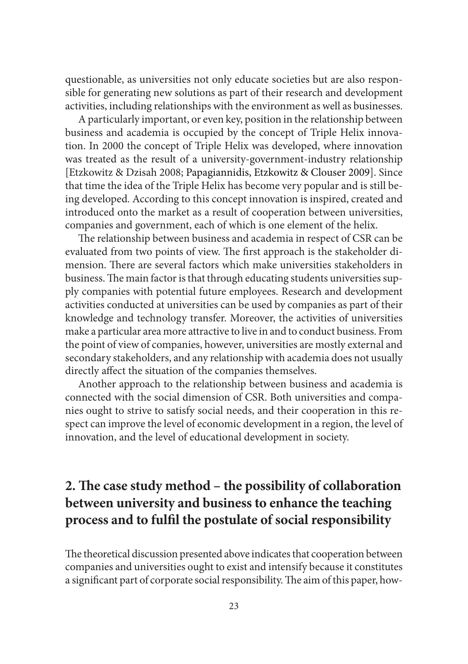questionable, as universities not only educate societies but are also responsible for generating new solutions as part of their research and development activities, including relationships with the environment as well as businesses.

A particularly important, or even key, position in the relationship between business and academia is occupied by the concept of Triple Helix innovation. In 2000 the concept of Triple Helix was developed, where innovation was treated as the result of a university-government-industry relationship [Etzkowitz & Dzisah 2008; Papagiannidis, Etzkowitz & Clouser 2009]. Since that time the idea of the Triple Helix has become very popular and is still being developed. According to this concept innovation is inspired, created and introduced onto the market as a result of cooperation between universities, companies and government, each of which is one element of the helix.

The relationship between business and academia in respect of CSR can be evaluated from two points of view. The first approach is the stakeholder dimension. There are several factors which make universities stakeholders in business. The main factor is that through educating students universities supply companies with potential future employees. Research and development activities conducted at universities can be used by companies as part of their knowledge and technology transfer. Moreover, the activities of universities make a particular area more attractive to live in and to conduct business. From the point of view of companies, however, universities are mostly external and secondary stakeholders, and any relationship with academia does not usually directly affect the situation of the companies themselves.

Another approach to the relationship between business and academia is connected with the social dimension of CSR. Both universities and companies ought to strive to satisfy social needs, and their cooperation in this respect can improve the level of economic development in a region, the level of innovation, and the level of educational development in society.

## **2. The case study method – the possibility of collaboration between university and business to enhance the teaching**  process and to fulfil the postulate of social responsibility

The theoretical discussion presented above indicates that cooperation between companies and universities ought to exist and intensify because it constitutes a significant part of corporate social responsibility. The aim of this paper, how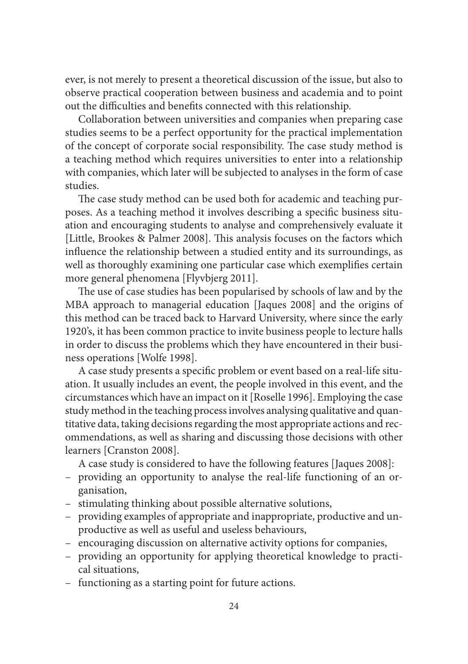ever, is not merely to present a theoretical discussion of the issue, but also to observe practical cooperation between business and academia and to point out the difficulties and benefits connected with this relationship.

Collaboration between universities and companies when preparing case studies seems to be a perfect opportunity for the practical implementation of the concept of corporate social responsibility. The case study method is a teaching method which requires universities to enter into a relationship with companies, which later will be subjected to analyses in the form of case studies.

The case study method can be used both for academic and teaching purposes. As a teaching method it involves describing a specific business situation and encouraging students to analyse and comprehensively evaluate it [Little, Brookes & Palmer 2008]. This analysis focuses on the factors which influence the relationship between a studied entity and its surroundings, as well as thoroughly examining one particular case which exemplifies certain more general phenomena [Flyvbjerg 2011].

The use of case studies has been popularised by schools of law and by the MBA approach to managerial education [Jaques 2008] and the origins of this method can be traced back to Harvard University, where since the early 1920's, it has been common practice to invite business people to lecture halls in order to discuss the problems which they have encountered in their business operations [Wolfe 1998].

A case study presents a specific problem or event based on a real-life situation. It usually includes an event, the people involved in this event, and the circumstances which have an impact on it [Roselle 1996]. Employing the case study method in the teaching process involves analysing qualitative and quantitative data, taking decisions regarding the most appropriate actions and recommendations, as well as sharing and discussing those decisions with other learners [Cranston 2008].

A case study is considered to have the following features [Jaques 2008]:

- providing an opportunity to analyse the real-life functioning of an organisation,
- stimulating thinking about possible alternative solutions,
- providing examples of appropriate and inappropriate, productive and unproductive as well as useful and useless behaviours,
- encouraging discussion on alternative activity options for companies,
- providing an opportunity for applying theoretical knowledge to practical situations,
- functioning as a starting point for future actions.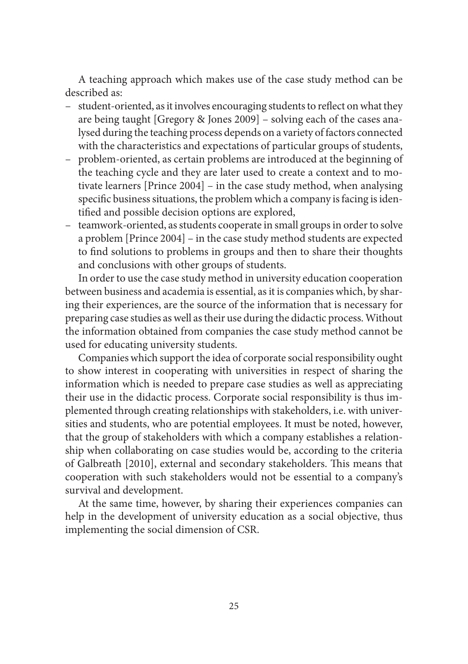A teaching approach which makes use of the case study method can be described as:

- $-$  student-oriented, as it involves encouraging students to reflect on what they are being taught [Gregory & Jones 2009] – solving each of the cases analysed during the teaching process depends on a variety of factors connected with the characteristics and expectations of particular groups of students,
- problem-oriented, as certain problems are introduced at the beginning of the teaching cycle and they are later used to create a context and to motivate learners [Prince 2004] – in the case study method, when analysing specific business situations, the problem which a company is facing is identified and possible decision options are explored,
- teamwork-oriented, as students cooperate in small groups in order to solve a problem [Prince 2004] – in the case study method students are expected to find solutions to problems in groups and then to share their thoughts and conclusions with other groups of students.

In order to use the case study method in university education cooperation between business and academia is essential, as it is companies which, by sharing their experiences, are the source of the information that is necessary for preparing case studies as well as their use during the didactic process. Without the information obtained from companies the case study method cannot be used for educating university students.

Companies which support the idea of corporate social responsibility ought to show interest in cooperating with universities in respect of sharing the information which is needed to prepare case studies as well as appreciating their use in the didactic process. Corporate social responsibility is thus implemented through creating relationships with stakeholders, i.e. with universities and students, who are potential employees. It must be noted, however, that the group of stakeholders with which a company establishes a relationship when collaborating on case studies would be, according to the criteria of Galbreath [2010], external and secondary stakeholders. This means that cooperation with such stakeholders would not be essential to a company's survival and development.

At the same time, however, by sharing their experiences companies can help in the development of university education as a social objective, thus implementing the social dimension of CSR.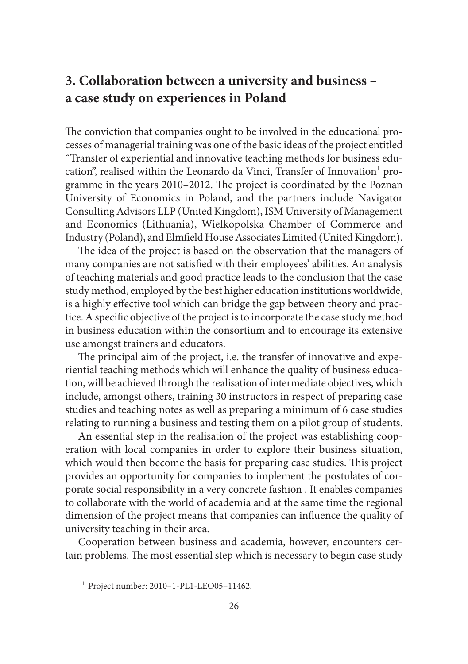### **3. Collaboration between a university and business – a case study on experiences in Poland**

The conviction that companies ought to be involved in the educational processes of managerial training was one of the basic ideas of the project entitled "Transfer of experiential and innovative teaching methods for business education", realised within the Leonardo da Vinci, Transfer of Innovation<sup>1</sup> programme in the years 2010-2012. The project is coordinated by the Poznan University of Economics in Poland, and the partners include Navigator Consulting Advisors LLP (United Kingdom), ISM University of Management and Economics (Lithuania), Wielkopolska Chamber of Commerce and Industry (Poland), and Elmfield House Associates Limited (United Kingdom).

The idea of the project is based on the observation that the managers of many companies are not satisfied with their employees' abilities. An analysis of teaching materials and good practice leads to the conclusion that the case study method, employed by the best higher education institutions worldwide, is a highly effective tool which can bridge the gap between theory and practice. A specific objective of the project is to incorporate the case study method in business education within the consortium and to encourage its extensive use amongst trainers and educators.

The principal aim of the project, i.e. the transfer of innovative and experiential teaching methods which will enhance the quality of business education, will be achieved through the realisation of intermediate objectives, which include, amongst others, training 30 instructors in respect of preparing case studies and teaching notes as well as preparing a minimum of 6 case studies relating to running a business and testing them on a pilot group of students.

An essential step in the realisation of the project was establishing cooperation with local companies in order to explore their business situation, which would then become the basis for preparing case studies. This project provides an opportunity for companies to implement the postulates of corporate social responsibility in a very concrete fashion . It enables companies to collaborate with the world of academia and at the same time the regional dimension of the project means that companies can influence the quality of university teaching in their area.

Cooperation between business and academia, however, encounters certain problems. The most essential step which is necessary to begin case study

 <sup>1</sup> Project number: 2010–1-PL1-LEO05–11462.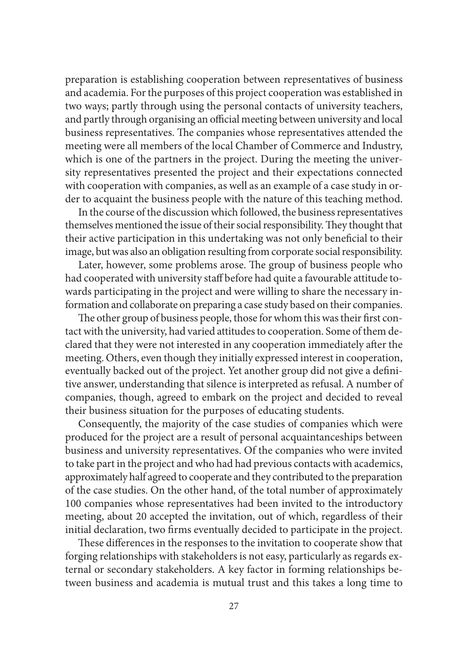preparation is establishing cooperation between representatives of business and academia. For the purposes of this project cooperation was established in two ways; partly through using the personal contacts of university teachers, and partly through organising an official meeting between university and local business representatives. The companies whose representatives attended the meeting were all members of the local Chamber of Commerce and Industry, which is one of the partners in the project. During the meeting the university representatives presented the project and their expectations connected with cooperation with companies, as well as an example of a case study in order to acquaint the business people with the nature of this teaching method.

In the course of the discussion which followed, the business representatives themselves mentioned the issue of their social responsibility. They thought that their active participation in this undertaking was not only beneficial to their image, but was also an obligation resulting from corporate social responsibility.

Later, however, some problems arose. The group of business people who had cooperated with university staff before had quite a favourable attitude towards participating in the project and were willing to share the necessary information and collaborate on preparing a case study based on their companies.

The other group of business people, those for whom this was their first contact with the university, had varied attitudes to cooperation. Some of them declared that they were not interested in any cooperation immediately after the meeting. Others, even though they initially expressed interest in cooperation, eventually backed out of the project. Yet another group did not give a definitive answer, understanding that silence is interpreted as refusal. A number of companies, though, agreed to embark on the project and decided to reveal their business situation for the purposes of educating students.

Consequently, the majority of the case studies of companies which were produced for the project are a result of personal acquaintanceships between business and university representatives. Of the companies who were invited to take part in the project and who had had previous contacts with academics, approximately half agreed to cooperate and they contributed to the preparation of the case studies. On the other hand, of the total number of approximately 100 companies whose representatives had been invited to the introductory meeting, about 20 accepted the invitation, out of which, regardless of their initial declaration, two firms eventually decided to participate in the project.

These differences in the responses to the invitation to cooperate show that forging relationships with stakeholders is not easy, particularly as regards external or secondary stakeholders. A key factor in forming relationships between business and academia is mutual trust and this takes a long time to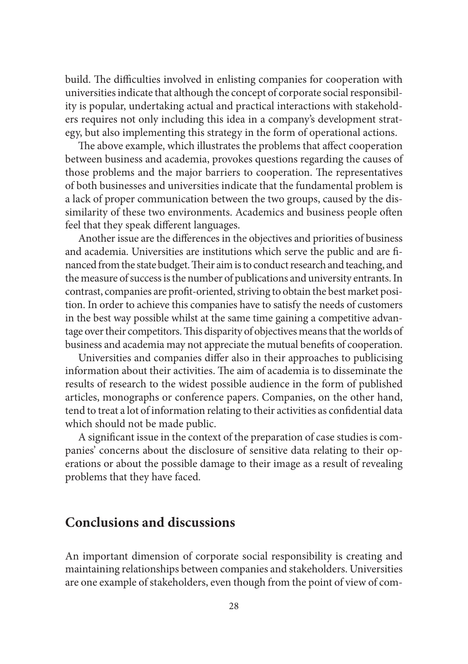build. The difficulties involved in enlisting companies for cooperation with universities indicate that although the concept of corporate social responsibility is popular, undertaking actual and practical interactions with stakeholders requires not only including this idea in a company's development strategy, but also implementing this strategy in the form of operational actions.

The above example, which illustrates the problems that affect cooperation between business and academia, provokes questions regarding the causes of those problems and the major barriers to cooperation. The representatives of both businesses and universities indicate that the fundamental problem is a lack of proper communication between the two groups, caused by the dissimilarity of these two environments. Academics and business people often feel that they speak different languages.

Another issue are the differences in the objectives and priorities of business and academia. Universities are institutions which serve the public and are financed from the state budget. Their aim is to conduct research and teaching, and the measure of success is the number of publications and university entrants. In contrast, companies are profit-oriented, striving to obtain the best market position. In order to achieve this companies have to satisfy the needs of customers in the best way possible whilst at the same time gaining a competitive advantage over their competitors. This disparity of objectives means that the worlds of business and academia may not appreciate the mutual benefits of cooperation.

Universities and companies differ also in their approaches to publicising information about their activities. The aim of academia is to disseminate the results of research to the widest possible audience in the form of published articles, monographs or conference papers. Companies, on the other hand, tend to treat a lot of information relating to their activities as confidential data which should not be made public.

A significant issue in the context of the preparation of case studies is companies' concerns about the disclosure of sensitive data relating to their operations or about the possible damage to their image as a result of revealing problems that they have faced.

#### **Conclusions and discussions**

An important dimension of corporate social responsibility is creating and maintaining relationships between companies and stakeholders. Universities are one example of stakeholders, even though from the point of view of com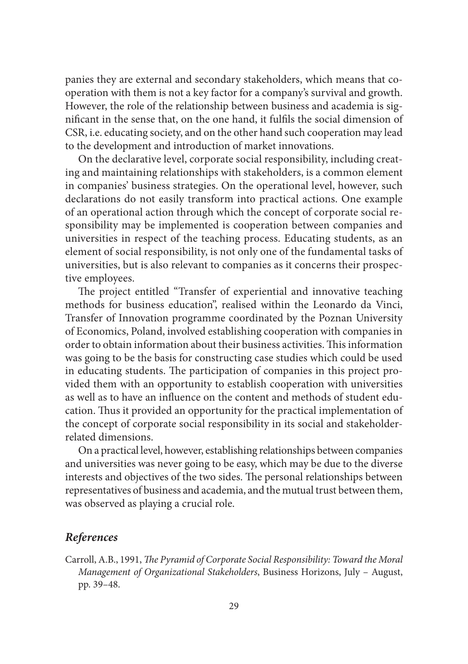panies they are external and secondary stakeholders, which means that cooperation with them is not a key factor for a company's survival and growth. However, the role of the relationship between business and academia is significant in the sense that, on the one hand, it fulfils the social dimension of CSR, i.e. educating society, and on the other hand such cooperation may lead to the development and introduction of market innovations.

On the declarative level, corporate social responsibility, including creating and maintaining relationships with stakeholders, is a common element in companies' business strategies. On the operational level, however, such declarations do not easily transform into practical actions. One example of an operational action through which the concept of corporate social responsibility may be implemented is cooperation between companies and universities in respect of the teaching process. Educating students, as an element of social responsibility, is not only one of the fundamental tasks of universities, but is also relevant to companies as it concerns their prospective employees.

The project entitled "Transfer of experiential and innovative teaching methods for business education", realised within the Leonardo da Vinci, Transfer of Innovation programme coordinated by the Poznan University of Economics, Poland, involved establishing cooperation with companies in order to obtain information about their business activities. This information was going to be the basis for constructing case studies which could be used in educating students. The participation of companies in this project provided them with an opportunity to establish cooperation with universities as well as to have an influence on the content and methods of student education. Thus it provided an opportunity for the practical implementation of the concept of corporate social responsibility in its social and stakeholderrelated dimensions.

On a practical level, however, establishing relationships between companies and universities was never going to be easy, which may be due to the diverse interests and objectives of the two sides. The personal relationships between representatives of business and academia, and the mutual trust between them, was observed as playing a crucial role.

#### *References*

Carroll, A.B., 1991, *The Pyramid of Corporate Social Responsibility: Toward the Moral Management of Organizational Stakeholders*, Business Horizons, July – August, pp. 39–48.